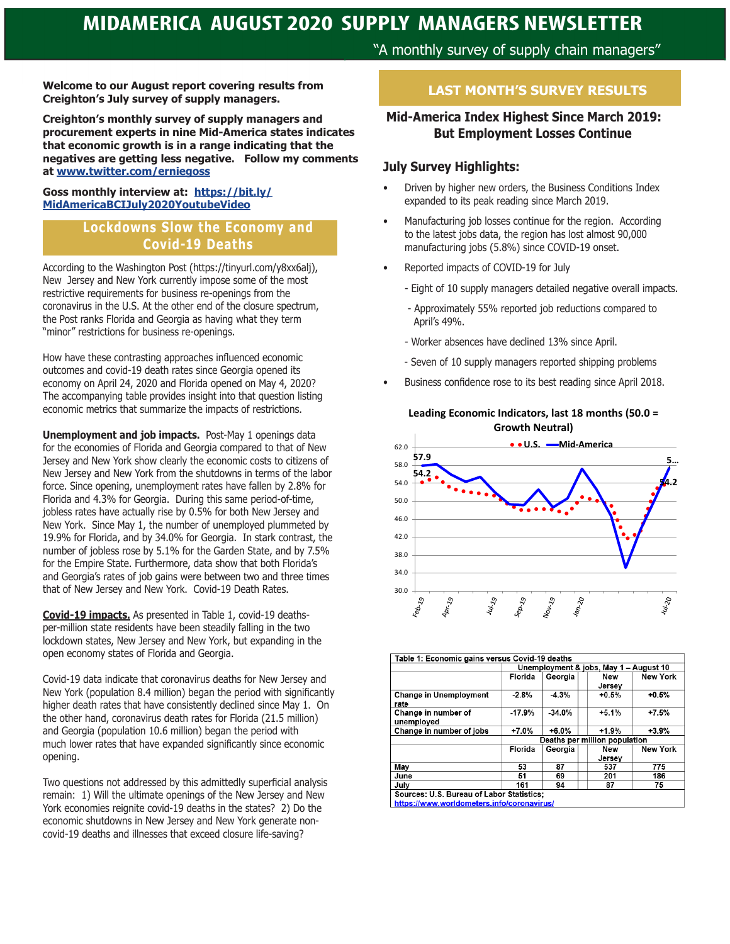"A monthly survey of supply chain managers"

**Welcome to our August report covering results from Creighton's July survey of supply managers.**

**Creighton's monthly survey of supply managers and procurement experts in nine Mid-America states indicates that economic growth is in a range indicating that the negatives are getting less negative. Follow my comments at www.twitter.com/erniegoss**

#### **Goss monthly interview at: https://bit.ly/ MidAmericaBCIJuly2020YoutubeVideo**

#### **Lockdowns Slow the Economy and Covid-19 Deaths**

According to the Washington Post (https://tinyurl.com/y8xx6alj), New Jersey and New York currently impose some of the most restrictive requirements for business re-openings from the coronavirus in the U.S. At the other end of the closure spectrum, the Post ranks Florida and Georgia as having what they term "minor" restrictions for business re-openings.

How have these contrasting approaches influenced economic outcomes and covid-19 death rates since Georgia opened its economy on April 24, 2020 and Florida opened on May 4, 2020? The accompanying table provides insight into that question listing economic metrics that summarize the impacts of restrictions.

**Unemployment and job impacts.** Post-May 1 openings data for the economies of Florida and Georgia compared to that of New Jersey and New York show clearly the economic costs to citizens of New Jersey and New York from the shutdowns in terms of the labor force. Since opening, unemployment rates have fallen by 2.8% for Florida and 4.3% for Georgia. During this same period-of-time, jobless rates have actually rise by 0.5% for both New Jersey and New York. Since May 1, the number of unemployed plummeted by 19.9% for Florida, and by 34.0% for Georgia. In stark contrast, the number of jobless rose by 5.1% for the Garden State, and by 7.5% for the Empire State. Furthermore, data show that both Florida's and Georgia's rates of job gains were between two and three times that of New Jersey and New York. Covid-19 Death Rates.

**Covid-19 impacts.** As presented in Table 1, covid-19 deathsper-million state residents have been steadily falling in the two lockdown states, New Jersey and New York, but expanding in the open economy states of Florida and Georgia.

Covid-19 data indicate that coronavirus deaths for New Jersey and New York (population 8.4 million) began the period with significantly higher death rates that have consistently declined since May 1. On the other hand, coronavirus death rates for Florida (21.5 million) and Georgia (population 10.6 million) began the period with much lower rates that have expanded significantly since economic opening.

Two questions not addressed by this admittedly superficial analysis remain: 1) Will the ultimate openings of the New Jersey and New York economies reignite covid-19 deaths in the states? 2) Do the economic shutdowns in New Jersey and New York generate noncovid-19 deaths and illnesses that exceed closure life-saving?

## **LAST MONTH'S SURVEY RESULTS**

## **Mid-America Index Highest Since March 2019: But Employment Losses Continue**

#### **July Survey Highlights:**

- Driven by higher new orders, the Business Conditions Index expanded to its peak reading since March 2019.
- Manufacturing job losses continue for the region. According to the latest jobs data, the region has lost almost 90,000 manufacturing jobs (5.8%) since COVID-19 onset.
- Reported impacts of COVID-19 for July
	- Eight of 10 supply managers detailed negative overall impacts.
	- Approximately 55% reported job reductions compared to April's 49%.
	- Worker absences have declined 13% since April.
	- Seven of 10 supply managers reported shipping problems
- Business confidence rose to its best reading since April 2018.

**Leading Economic Indicators, last 18 months (50.0 = Growth Neutral)**



| Table 1: Economic gains versus Covid-19 deaths                                          |                                        |          |               |                 |
|-----------------------------------------------------------------------------------------|----------------------------------------|----------|---------------|-----------------|
|                                                                                         | Unemployment & jobs, May 1 - August 10 |          |               |                 |
|                                                                                         | Florida                                | Georgia  | New<br>Jersev | <b>New York</b> |
| <b>Change in Unemployment</b><br>rate                                                   | $-2.8%$                                | $-4.3%$  | $+0.5%$       | $+0.5%$         |
| Change in number of<br>unemployed                                                       | $-17.9%$                               | $-34.0%$ | $+5.1%$       | $+7.5%$         |
| Change in number of jobs                                                                | $+7.0%$                                | $+6.0%$  | $+1.9%$       | $+3.9%$         |
|                                                                                         | Deaths per million population          |          |               |                 |
|                                                                                         | Florida                                | Georgia  | New           | <b>New York</b> |
|                                                                                         |                                        |          | Jersey        |                 |
| Mav                                                                                     | 53                                     | 87       | 537           | 775             |
| June                                                                                    | 51                                     | 69       | 201           | 186             |
| July                                                                                    | 161                                    | 94       | 87            | 75              |
| Sources: U.S. Bureau of Labor Statistics:<br>https://www.worldometers.info/coronavirus/ |                                        |          |               |                 |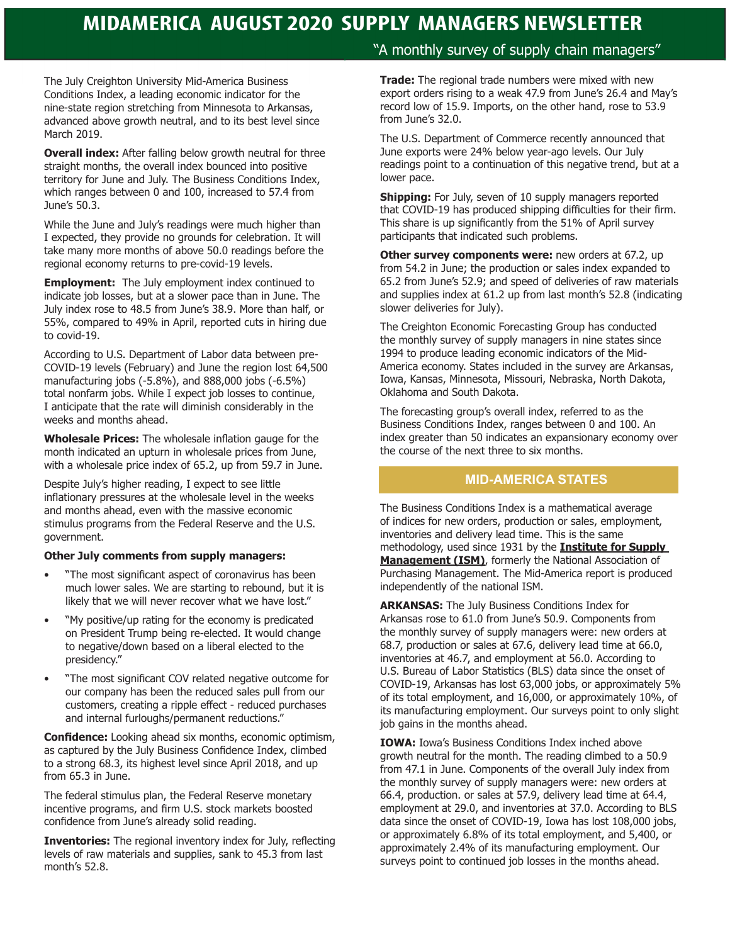The July Creighton University Mid-America Business Conditions Index, a leading economic indicator for the nine-state region stretching from Minnesota to Arkansas, advanced above growth neutral, and to its best level since March 2019.

**Overall index:** After falling below growth neutral for three straight months, the overall index bounced into positive territory for June and July. The Business Conditions Index, which ranges between 0 and 100, increased to 57.4 from June's 50.3.

While the June and July's readings were much higher than I expected, they provide no grounds for celebration. It will take many more months of above 50.0 readings before the regional economy returns to pre-covid-19 levels.

**Employment:** The July employment index continued to indicate job losses, but at a slower pace than in June. The July index rose to 48.5 from June's 38.9. More than half, or 55%, compared to 49% in April, reported cuts in hiring due to covid-19.

According to U.S. Department of Labor data between pre-COVID-19 levels (February) and June the region lost 64,500 manufacturing jobs (-5.8%), and 888,000 jobs (-6.5%) total nonfarm jobs. While I expect job losses to continue, I anticipate that the rate will diminish considerably in the weeks and months ahead.

**Wholesale Prices:** The wholesale inflation gauge for the month indicated an upturn in wholesale prices from June, with a wholesale price index of 65.2, up from 59.7 in June.

Despite July's higher reading, I expect to see little inflationary pressures at the wholesale level in the weeks and months ahead, even with the massive economic stimulus programs from the Federal Reserve and the U.S. government.

#### **Other July comments from supply managers:**

- "The most significant aspect of coronavirus has been much lower sales. We are starting to rebound, but it is likely that we will never recover what we have lost."
- "My positive/up rating for the economy is predicated on President Trump being re-elected. It would change to negative/down based on a liberal elected to the presidency."
- "The most significant COV related negative outcome for our company has been the reduced sales pull from our customers, creating a ripple effect - reduced purchases and internal furloughs/permanent reductions."

**Confidence:** Looking ahead six months, economic optimism, as captured by the July Business Confidence Index, climbed to a strong 68.3, its highest level since April 2018, and up from 65.3 in June.

The federal stimulus plan, the Federal Reserve monetary incentive programs, and firm U.S. stock markets boosted confidence from June's already solid reading.

**Inventories:** The regional inventory index for July, reflecting levels of raw materials and supplies, sank to 45.3 from last month's 52.8.

#### "A monthly survey of supply chain managers"

**Trade:** The regional trade numbers were mixed with new export orders rising to a weak 47.9 from June's 26.4 and May's record low of 15.9. Imports, on the other hand, rose to 53.9 from June's 32.0.

The U.S. Department of Commerce recently announced that June exports were 24% below year-ago levels. Our July readings point to a continuation of this negative trend, but at a lower pace.

**Shipping:** For July, seven of 10 supply managers reported that COVID-19 has produced shipping difficulties for their firm. This share is up significantly from the 51% of April survey participants that indicated such problems.

**Other survey components were:** new orders at 67.2, up from 54.2 in June; the production or sales index expanded to 65.2 from June's 52.9; and speed of deliveries of raw materials and supplies index at 61.2 up from last month's 52.8 (indicating slower deliveries for July).

The Creighton Economic Forecasting Group has conducted the monthly survey of supply managers in nine states since 1994 to produce leading economic indicators of the Mid-America economy. States included in the survey are Arkansas, Iowa, Kansas, Minnesota, Missouri, Nebraska, North Dakota, Oklahoma and South Dakota.

The forecasting group's overall index, referred to as the Business Conditions Index, ranges between 0 and 100. An index greater than 50 indicates an expansionary economy over the course of the next three to six months.

#### **MID-AMERICA STATES**

The Business Conditions Index is a mathematical average of indices for new orders, production or sales, employment, inventories and delivery lead time. This is the same methodology, used since 1931 by the **Institute for Supply Management (ISM)**, formerly the National Association of Purchasing Management. The Mid-America report is produced independently of the national ISM.

**ARKANSAS:** The July Business Conditions Index for Arkansas rose to 61.0 from June's 50.9. Components from the monthly survey of supply managers were: new orders at 68.7, production or sales at 67.6, delivery lead time at 66.0, inventories at 46.7, and employment at 56.0. According to U.S. Bureau of Labor Statistics (BLS) data since the onset of COVID-19, Arkansas has lost 63,000 jobs, or approximately 5% of its total employment, and 16,000, or approximately 10%, of its manufacturing employment. Our surveys point to only slight job gains in the months ahead.

**IOWA:** Iowa's Business Conditions Index inched above growth neutral for the month. The reading climbed to a 50.9 from 47.1 in June. Components of the overall July index from the monthly survey of supply managers were: new orders at 66.4, production. or sales at 57.9, delivery lead time at 64.4, employment at 29.0, and inventories at 37.0. According to BLS data since the onset of COVID-19, Iowa has lost 108,000 jobs, or approximately 6.8% of its total employment, and 5,400, or approximately 2.4% of its manufacturing employment. Our surveys point to continued job losses in the months ahead.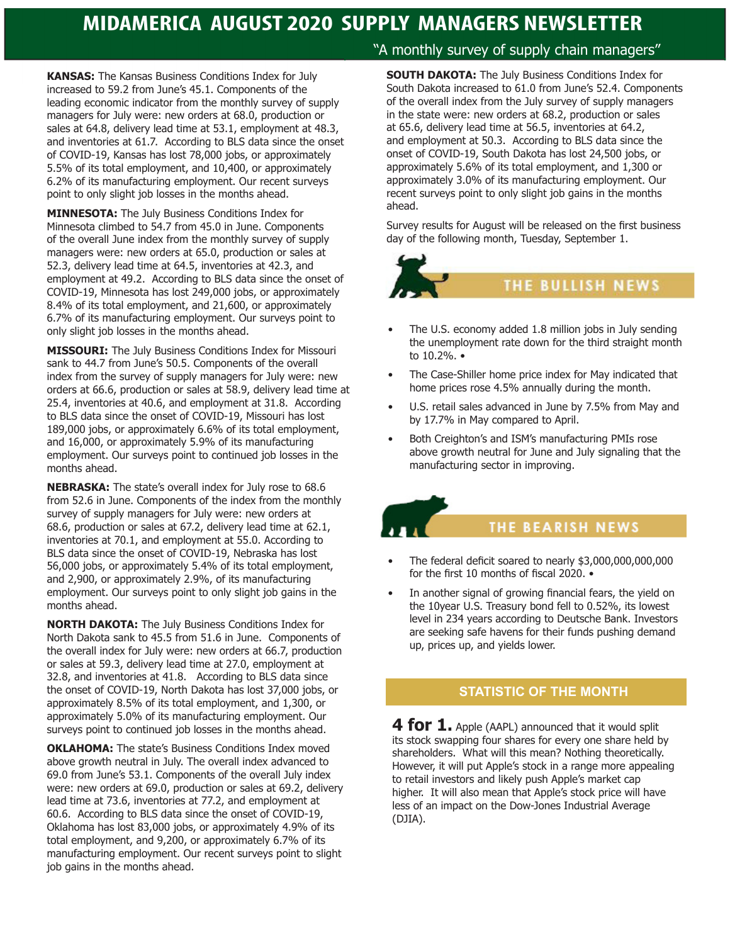**KANSAS:** The Kansas Business Conditions Index for July increased to 59.2 from June's 45.1. Components of the leading economic indicator from the monthly survey of supply managers for July were: new orders at 68.0, production or sales at 64.8, delivery lead time at 53.1, employment at 48.3, and inventories at 61.7. According to BLS data since the onset of COVID-19, Kansas has lost 78,000 jobs, or approximately 5.5% of its total employment, and 10,400, or approximately 6.2% of its manufacturing employment. Our recent surveys point to only slight job losses in the months ahead.

**MINNESOTA:** The July Business Conditions Index for Minnesota climbed to 54.7 from 45.0 in June. Components of the overall June index from the monthly survey of supply managers were: new orders at 65.0, production or sales at 52.3, delivery lead time at 64.5, inventories at 42.3, and employment at 49.2. According to BLS data since the onset of COVID-19, Minnesota has lost 249,000 jobs, or approximately 8.4% of its total employment, and 21,600, or approximately 6.7% of its manufacturing employment. Our surveys point to only slight job losses in the months ahead.

**MISSOURI:** The July Business Conditions Index for Missouri sank to 44.7 from June's 50.5. Components of the overall index from the survey of supply managers for July were: new orders at 66.6, production or sales at 58.9, delivery lead time at 25.4, inventories at 40.6, and employment at 31.8. According to BLS data since the onset of COVID-19, Missouri has lost 189,000 jobs, or approximately 6.6% of its total employment, and 16,000, or approximately 5.9% of its manufacturing employment. Our surveys point to continued job losses in the months ahead.

**NEBRASKA:** The state's overall index for July rose to 68.6 from 52.6 in June. Components of the index from the monthly survey of supply managers for July were: new orders at 68.6, production or sales at 67.2, delivery lead time at 62.1, inventories at 70.1, and employment at 55.0. According to BLS data since the onset of COVID-19, Nebraska has lost 56,000 jobs, or approximately 5.4% of its total employment, and 2,900, or approximately 2.9%, of its manufacturing employment. Our surveys point to only slight job gains in the months ahead.

**NORTH DAKOTA:** The July Business Conditions Index for North Dakota sank to 45.5 from 51.6 in June. Components of the overall index for July were: new orders at 66.7, production or sales at 59.3, delivery lead time at 27.0, employment at 32.8, and inventories at 41.8. According to BLS data since the onset of COVID-19, North Dakota has lost 37,000 jobs, or approximately 8.5% of its total employment, and 1,300, or approximately 5.0% of its manufacturing employment. Our surveys point to continued job losses in the months ahead.

**OKLAHOMA:** The state's Business Conditions Index moved above growth neutral in July. The overall index advanced to 69.0 from June's 53.1. Components of the overall July index were: new orders at 69.0, production or sales at 69.2, delivery lead time at 73.6, inventories at 77.2, and employment at 60.6. According to BLS data since the onset of COVID-19, Oklahoma has lost 83,000 jobs, or approximately 4.9% of its total employment, and 9,200, or approximately 6.7% of its manufacturing employment. Our recent surveys point to slight job gains in the months ahead.

## "A monthly survey of supply chain managers"

**SOUTH DAKOTA:** The July Business Conditions Index for South Dakota increased to 61.0 from June's 52.4. Components of the overall index from the July survey of supply managers in the state were: new orders at 68.2, production or sales at 65.6, delivery lead time at 56.5, inventories at 64.2, and employment at 50.3. According to BLS data since the onset of COVID-19, South Dakota has lost 24,500 jobs, or approximately 5.6% of its total employment, and 1,300 or approximately 3.0% of its manufacturing employment. Our recent surveys point to only slight job gains in the months ahead.

Survey results for August will be released on the first business day of the following month, Tuesday, September 1.



- The U.S. economy added 1.8 million jobs in July sending the unemployment rate down for the third straight month to 10.2%. •
- The Case-Shiller home price index for May indicated that home prices rose 4.5% annually during the month.
- U.S. retail sales advanced in June by 7.5% from May and by 17.7% in May compared to April.
- Both Creighton's and ISM's manufacturing PMIs rose above growth neutral for June and July signaling that the manufacturing sector in improving.

## **THE BEARISH NEWS**

- The federal deficit soared to nearly \$3,000,000,000,000 for the first 10 months of fiscal 2020. •
- In another signal of growing financial fears, the yield on the 10year U.S. Treasury bond fell to 0.52%, its lowest level in 234 years according to Deutsche Bank. Investors are seeking safe havens for their funds pushing demand up, prices up, and yields lower.

## **STATISTIC OF THE MONTH**

**4 for 1.** Apple (AAPL) announced that it would split its stock swapping four shares for every one share held by shareholders. What will this mean? Nothing theoretically. However, it will put Apple's stock in a range more appealing to retail investors and likely push Apple's market cap higher. It will also mean that Apple's stock price will have less of an impact on the Dow-Jones Industrial Average (DJIA).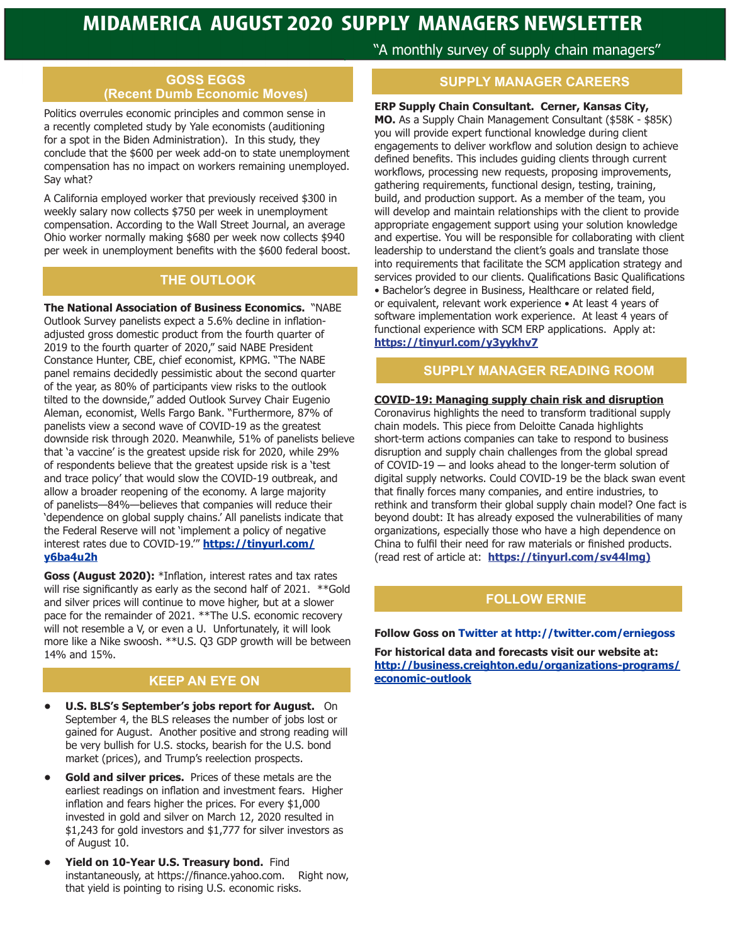#### **GOSS EGGS (Recent Dumb Economic Moves)**

Politics overrules economic principles and common sense in a recently completed study by Yale economists (auditioning for a spot in the Biden Administration). In this study, they conclude that the \$600 per week add-on to state unemployment compensation has no impact on workers remaining unemployed. Say what?

A California employed worker that previously received \$300 in weekly salary now collects \$750 per week in unemployment compensation. According to the Wall Street Journal, an average Ohio worker normally making \$680 per week now collects \$940 per week in unemployment benefits with the \$600 federal boost.

#### **THE OUTLOOK**

**The National Association of Business Economics.** "NABE Outlook Survey panelists expect a 5.6% decline in inflationadjusted gross domestic product from the fourth quarter of 2019 to the fourth quarter of 2020," said NABE President Constance Hunter, CBE, chief economist, KPMG. "The NABE panel remains decidedly pessimistic about the second quarter of the year, as 80% of participants view risks to the outlook tilted to the downside," added Outlook Survey Chair Eugenio Aleman, economist, Wells Fargo Bank. "Furthermore, 87% of panelists view a second wave of COVID-19 as the greatest downside risk through 2020. Meanwhile, 51% of panelists believe that 'a vaccine' is the greatest upside risk for 2020, while 29% of respondents believe that the greatest upside risk is a 'test and trace policy' that would slow the COVID-19 outbreak, and allow a broader reopening of the economy. A large majority of panelists—84%—believes that companies will reduce their 'dependence on global supply chains.' All panelists indicate that the Federal Reserve will not 'implement a policy of negative interest rates due to COVID-19.'" **https://tinyurl.com/ y6ba4u2h**

**Goss (August 2020):** \*Inflation, interest rates and tax rates will rise significantly as early as the second half of 2021. \*\*Gold and silver prices will continue to move higher, but at a slower pace for the remainder of 2021. \*\*The U.S. economic recovery will not resemble a V, or even a U. Unfortunately, it will look more like a Nike swoosh. \*\*U.S. Q3 GDP growth will be between 14% and 15%.

## **KEEP AN EYE ON economic-outlook**

- **• U.S. BLS's September's jobs report for August.** On September 4, the BLS releases the number of jobs lost or gained for August. Another positive and strong reading will be very bullish for U.S. stocks, bearish for the U.S. bond market (prices), and Trump's reelection prospects.
- **• Gold and silver prices.** Prices of these metals are the earliest readings on inflation and investment fears. Higher inflation and fears higher the prices. For every \$1,000 invested in gold and silver on March 12, 2020 resulted in \$1,243 for gold investors and \$1,777 for silver investors as of August 10.
- **• Yield on 10-Year U.S. Treasury bond.** Find instantaneously, at https://finance.yahoo.com. Right now, that yield is pointing to rising U.S. economic risks.

"A monthly survey of supply chain managers"

#### **SUPPLY MANAGER CAREERS**

**ERP Supply Chain Consultant. Cerner, Kansas City, MO.** As a Supply Chain Management Consultant (\$58K - \$85K) you will provide expert functional knowledge during client engagements to deliver workflow and solution design to achieve defined benefits. This includes guiding clients through current workflows, processing new requests, proposing improvements, gathering requirements, functional design, testing, training, build, and production support. As a member of the team, you will develop and maintain relationships with the client to provide appropriate engagement support using your solution knowledge and expertise. You will be responsible for collaborating with client leadership to understand the client's goals and translate those into requirements that facilitate the SCM application strategy and services provided to our clients. Qualifications Basic Qualifications • Bachelor's degree in Business, Healthcare or related field, or equivalent, relevant work experience • At least 4 years of software implementation work experience. At least 4 years of functional experience with SCM ERP applications. Apply at: **https://tinyurl.com/y3yykhv7**

## **SUPPLY MANAGER READING ROOM**

#### **COVID-19: Managing supply chain risk and disruption**

Coronavirus highlights the need to transform traditional supply chain models. This piece from Deloitte Canada highlights short-term actions companies can take to respond to business disruption and supply chain challenges from the global spread of COVID-19 ─ and looks ahead to the longer-term solution of digital supply networks. Could COVID-19 be the black swan event that finally forces many companies, and entire industries, to rethink and transform their global supply chain model? One fact is beyond doubt: It has already exposed the vulnerabilities of many organizations, especially those who have a high dependence on China to fulfil their need for raw materials or finished products. (read rest of article at: **https://tinyurl.com/sv44lmg)**

## **FOLLOW ERNIE**

#### **Follow Goss on Twitter at http://twitter.com/erniegoss**

**For historical data and forecasts visit our website at: http://business.creighton.edu/organizations-programs/**